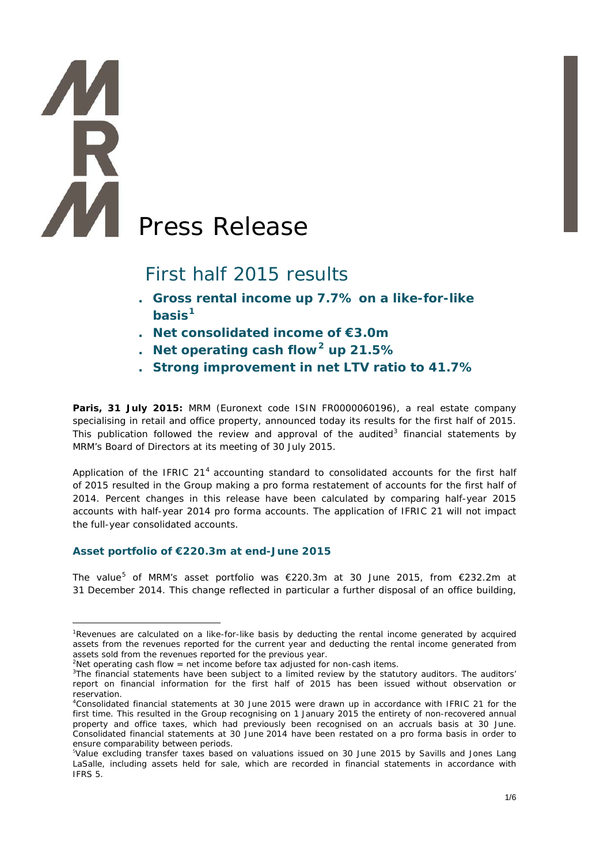# Press Release

# First half 2015 results

- **. Gross rental income up 7.7% on a like-for-like basis[1](#page-0-0)**
- **. Net consolidated income of €3.0m**
- **. Net operating cash flow[2](#page-0-1) up 21.5%**
- **. Strong improvement in net LTV ratio to 41.7%**

**Paris, 31 July 2015:** MRM (Euronext code ISIN FR0000060196), a real estate company specialising in retail and office property, announced today its results for the first half of 2015. This publication followed the review and approval of the audited<sup>[3](#page-0-2)</sup> financial statements by MRM's Board of Directors at its meeting of 30 July 2015.

Application of the IFRIC 21 $4$  accounting standard to consolidated accounts for the first half of 2015 resulted in the Group making a pro forma restatement of accounts for the first half of 2014. Percent changes in this release have been calculated by comparing half-year 2015 accounts with half-year 2014 pro forma accounts. The application of IFRIC 21 will not impact the full-year consolidated accounts.

### **Asset portfolio of €220.3m at end-June 2015**

The value<sup>[5](#page-0-4)</sup> of MRM's asset portfolio was €220.3m at 30 June 2015, from €232.2m at 31 December 2014. This change reflected in particular a further disposal of an office building,

<span id="page-0-0"></span><sup>-</sup><sup>1</sup>Revenues are calculated on a like-for-like basis by deducting the rental income generated by acquired assets from the revenues reported for the current year and deducting the rental income generated from assets sold from the revenues reported for the previous year.

<sup>&</sup>lt;sup>2</sup>Net operating cash flow = net income before tax adjusted for non-cash items.

<span id="page-0-2"></span><span id="page-0-1"></span><sup>&</sup>lt;sup>3</sup>The financial statements have been subject to a limited review by the statutory auditors. The auditors' report on financial information for the first half of 2015 has been issued without observation or reservation.

<span id="page-0-3"></span><sup>4</sup> Consolidated financial statements at 30 June 2015 were drawn up in accordance with IFRIC 21 for the first time. This resulted in the Group recognising on 1 January 2015 the entirety of non-recovered annual property and office taxes, which had previously been recognised on an accruals basis at 30 June. Consolidated financial statements at 30 June 2014 have been restated on a pro forma basis in order to ensure comparability between periods.

<span id="page-0-4"></span><sup>5</sup> Value excluding transfer taxes based on valuations issued on 30 June 2015 by Savills and Jones Lang LaSalle, including assets held for sale, which are recorded in financial statements in accordance with IFRS 5.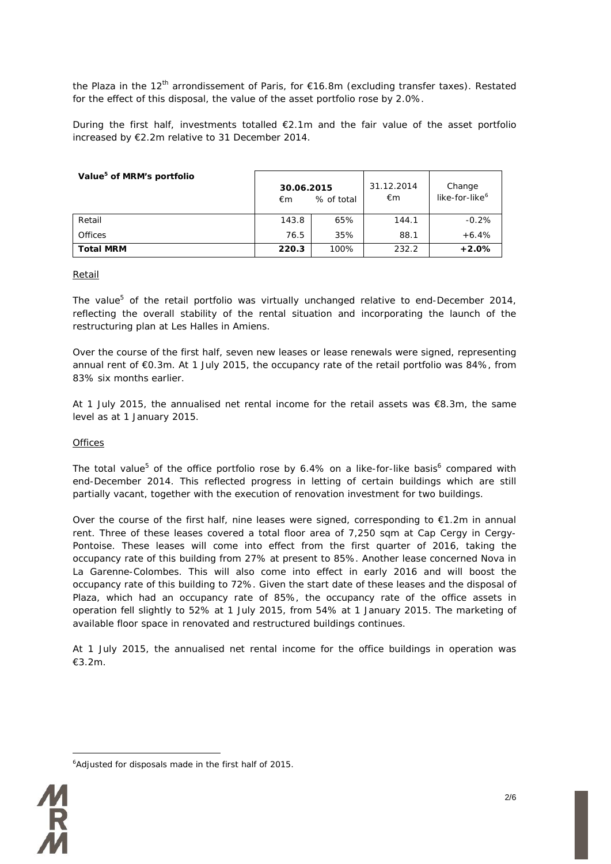the Plaza in the 12<sup>th</sup> arrondissement of Paris, for  $\epsilon$ 16.8m (excluding transfer taxes). Restated for the effect of this disposal, the value of the asset portfolio rose by 2.0%.

During the first half, investments totalled €2.1m and the fair value of the asset portfolio increased by €2.2m relative to 31 December 2014.

| Value <sup>5</sup> of MRM's portfolio | 30.06.2015<br>% of total<br>€m |      | 31.12.2014<br>€m | Change<br>like-for-like <sup>6</sup> |
|---------------------------------------|--------------------------------|------|------------------|--------------------------------------|
| Retail                                | 143.8                          | 65%  | 144.1            | $-0.2%$                              |
| <b>Offices</b>                        | 76.5                           | 35%  | 88.1             | $+6.4%$                              |
| <b>Total MRM</b>                      | 220.3                          | 100% | 232.2            | $+2.0%$                              |

### Retail

The value<sup>5</sup> of the retail portfolio was virtually unchanged relative to end-December 2014, reflecting the overall stability of the rental situation and incorporating the launch of the restructuring plan at Les Halles in Amiens.

Over the course of the first half, seven new leases or lease renewals were signed, representing annual rent of €0.3m. At 1 July 2015, the occupancy rate of the retail portfolio was 84%, from 83% six months earlier.

At 1 July 2015, the annualised net rental income for the retail assets was €8.3m, the same level as at 1 January 2015.

### **Offices**

The total value<sup>5</sup> of the office portfolio rose by 6.4% on a like-for-like basis<sup>6</sup> compared with end-December 2014. This reflected progress in letting of certain buildings which are still partially vacant, together with the execution of renovation investment for two buildings.

Over the course of the first half, nine leases were signed, corresponding to  $\epsilon$ 1.2m in annual rent. Three of these leases covered a total floor area of 7,250 sqm at Cap Cergy in Cergy-Pontoise. These leases will come into effect from the first quarter of 2016, taking the occupancy rate of this building from 27% at present to 85%. Another lease concerned Nova in La Garenne-Colombes. This will also come into effect in early 2016 and will boost the occupancy rate of this building to 72%. Given the start date of these leases and the disposal of Plaza, which had an occupancy rate of 85%, the occupancy rate of the office assets in operation fell slightly to 52% at 1 July 2015, from 54% at 1 January 2015. The marketing of available floor space in renovated and restructured buildings continues.

At 1 July 2015, the annualised net rental income for the office buildings in operation was €3.2m.

<span id="page-1-0"></span><sup>-</sup>6 Adjusted for disposals made in the first half of 2015.

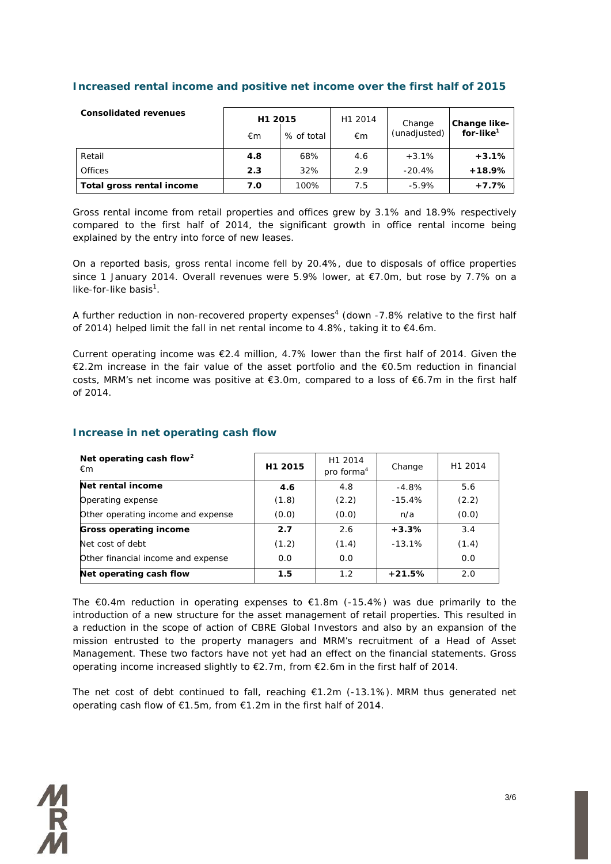| <b>Consolidated revenues</b> | H1 2015<br>€m | % of total | H1 2014<br>€m | Change<br>(unadjusted) | Change like-<br>for-like $^1$ |
|------------------------------|---------------|------------|---------------|------------------------|-------------------------------|
| Retail                       | 4.8           | 68%        | 4.6           | $+3.1%$                | $+3.1%$                       |
| <b>Offices</b>               | 2.3           | 32%        | 2.9           | $-20.4%$               | $+18.9%$                      |
| Total gross rental income    | 7.0           | 100%       | 7.5           | $-5.9\%$               | $+7.7%$                       |

### **Increased rental income and positive net income over the first half of 2015**

Gross rental income from retail properties and offices grew by 3.1% and 18.9% respectively compared to the first half of 2014, the significant growth in office rental income being explained by the entry into force of new leases.

On a reported basis, gross rental income fell by 20.4%, due to disposals of office properties since 1 January 2014. Overall revenues were 5.9% lower, at €7.0m, but rose by 7.7% on a like-for-like basis<sup>1</sup>.

A further reduction in non-recovered property expenses<sup>4</sup> (down -7.8% relative to the first half of 2014) helped limit the fall in net rental income to 4.8%, taking it to  $\epsilon$ 4.6m.

Current operating income was  $\epsilon$ 2.4 million, 4.7% lower than the first half of 2014. Given the €2.2m increase in the fair value of the asset portfolio and the €0.5m reduction in financial costs, MRM's net income was positive at €3.0m, compared to a loss of €6.7m in the first half of 2014.

| Net operating cash flow <sup>2</sup><br>€m | H1 2015 | H1 2014<br>pro forma <sup>4</sup> | Change    | H1 2014 |
|--------------------------------------------|---------|-----------------------------------|-----------|---------|
| Net rental income                          | 4.6     | 4.8                               | -4.8%     | 5.6     |
| Operating expense                          | (1.8)   | (2.2)                             | $-15.4%$  | (2.2)   |
| Other operating income and expense         | (0.0)   | (0.0)                             | n/a       | (0.0)   |
| <b>Gross operating income</b>              | 2.7     | 2.6                               | $+3.3%$   | 3.4     |
| Net cost of debt                           | (1.2)   | (1.4)                             | $-13.1\%$ | (1.4)   |
| Other financial income and expense         | 0.0     | 0.0                               |           | 0.0     |
| Net operating cash flow                    | 1.5     | 1.2                               | $+21.5%$  | 2.0     |

### **Increase in net operating cash flow**

The  $\epsilon$ 0.4m reduction in operating expenses to  $\epsilon$ 1.8m (-15.4%) was due primarily to the introduction of a new structure for the asset management of retail properties. This resulted in a reduction in the scope of action of CBRE Global Investors and also by an expansion of the mission entrusted to the property managers and MRM's recruitment of a Head of Asset Management. These two factors have not yet had an effect on the financial statements. Gross operating income increased slightly to  $E2.7m$ , from  $E2.6m$  in the first half of 2014.

The net cost of debt continued to fall, reaching  $£1.2m$  (-13.1%). MRM thus generated net operating cash flow of €1.5m, from €1.2m in the first half of 2014.

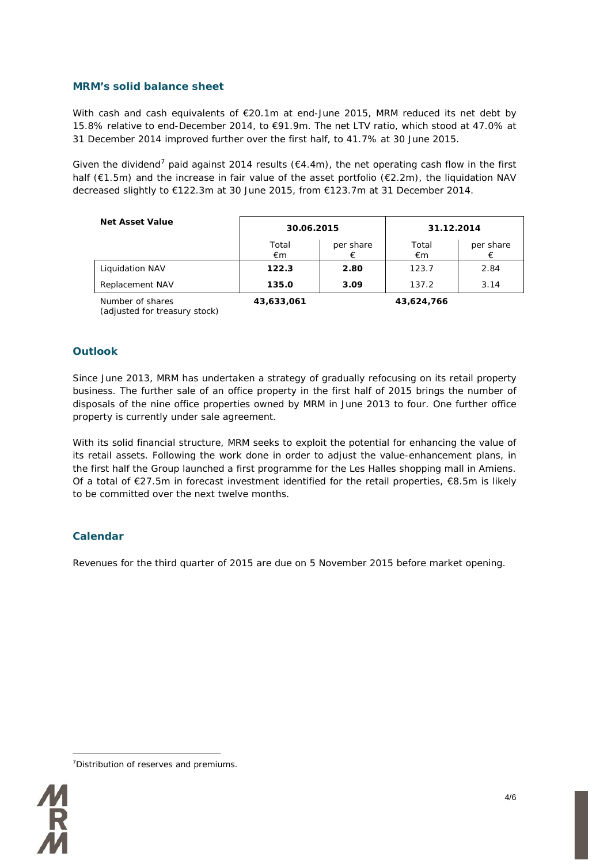### **MRM's solid balance sheet**

With cash and cash equivalents of €20.1m at end-June 2015, MRM reduced its net debt by 15.8% relative to end-December 2014, to €91.9m. The net LTV ratio, which stood at 47.0% at 31 December 2014 improved further over the first half, to 41.7% at 30 June 2015.

Given the dividend<sup>[7](#page-3-0)</sup> paid against 2014 results ( $64.4$ m), the net operating cash flow in the first half (€1.5m) and the increase in fair value of the asset portfolio (€2.2m), the liquidation NAV decreased slightly to €122.3m at 30 June 2015, from €123.7m at 31 December 2014.

| <b>Net Asset Value</b> | 30.06.2015  |           | 31.12.2014  |           |  |
|------------------------|-------------|-----------|-------------|-----------|--|
|                        | Total<br>€m | per share | Total<br>€m | per share |  |
| Liquidation NAV        | 122.3       | 2.80      | 123.7       | 2.84      |  |
| Replacement NAV        | 135.0       | 3.09      | 137.2       | 3.14      |  |
|                        |             |           |             |           |  |

*Number of shares (adjusted for treasury stock)*

*43,633,061 43,624,766*

### **Outlook**

Since June 2013, MRM has undertaken a strategy of gradually refocusing on its retail property business. The further sale of an office property in the first half of 2015 brings the number of disposals of the nine office properties owned by MRM in June 2013 to four. One further office property is currently under sale agreement.

With its solid financial structure, MRM seeks to exploit the potential for enhancing the value of its retail assets. Following the work done in order to adjust the value-enhancement plans, in the first half the Group launched a first programme for the Les Halles shopping mall in Amiens. Of a total of €27.5m in forecast investment identified for the retail properties, €8.5m is likely to be committed over the next twelve months.

### **Calendar**

Revenues for the third quarter of 2015 are due on 5 November 2015 before market opening.

<span id="page-3-0"></span><sup>-</sup><sup>7</sup> Distribution of reserves and premiums.

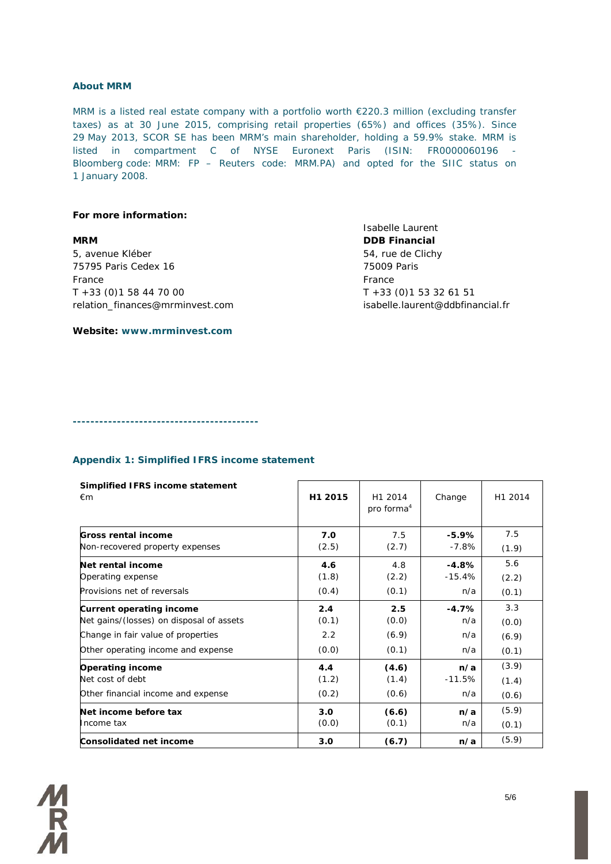### **About MRM**

MRM is a listed real estate company with a portfolio worth €220.3 million (excluding transfer taxes) as at 30 June 2015, comprising retail properties (65%) and offices (35%). Since 29 May 2013, SCOR SE has been MRM's main shareholder, holding a 59.9% stake. MRM is listed in compartment C of NYSE Euronext Paris (ISIN: FR0000060196 - Bloomberg code: MRM: FP – Reuters code: MRM.PA) and opted for the SIIC status on 1 January 2008.

### **For more information:**

**MRM DDB Financial** 5, avenue Kléber 54, rue de Clichy 75795 Paris Cedex 16 75009 Paris France France  $T + 33 (0)1 58 44 70 00$   $T + 33 (0)1 53 32 61 51$ relation\_finances@mrminvest.com isabelle.laurent@ddbfinancial.fr

Isabelle Laurent

**Website: www.mrminvest.com**

**------------------------------------------**

### **Appendix 1: Simplified IFRS income statement**

| Simplified IFRS income statement<br>€m   | H1 2015 | H1 2014<br>pro forma <sup>4</sup> | Change   | H1 2014 |
|------------------------------------------|---------|-----------------------------------|----------|---------|
| <b>Gross rental income</b>               | 7.0     | 7.5                               | $-5.9%$  | 7.5     |
| Non-recovered property expenses          | (2.5)   | (2.7)                             | -7.8%    | (1.9)   |
| Net rental income                        | 4.6     | 4.8                               | $-4.8%$  | 5.6     |
| Operating expense                        | (1.8)   | (2.2)                             | $-15.4%$ | (2.2)   |
| Provisions net of reversals              | (0.4)   | (0.1)                             | n/a      | (0.1)   |
| Current operating income                 | 2.4     | 2.5                               | $-4.7%$  | 3.3     |
| Net gains/(losses) on disposal of assets | (0.1)   | (0.0)                             | n/a      | (0.0)   |
| Change in fair value of properties       | 2.2     | (6.9)                             | n/a      | (6.9)   |
| Other operating income and expense       | (0.0)   | (0.1)                             | n/a      | (0.1)   |
| <b>Operating income</b>                  | 4.4     | (4.6)                             | n/a      | (3.9)   |
| Net cost of debt                         | (1.2)   | (1.4)                             | $-11.5%$ | (1.4)   |
| Other financial income and expense       | (0.2)   | (0.6)                             | n/a      | (0.6)   |
| Net income before tax                    | 3.0     | (6.6)                             | n/a      | (5.9)   |
| Income tax                               | (0.0)   | (0.1)                             | n/a      | (0.1)   |
| Consolidated net income                  | 3.0     | (6.7)                             | n/a      | (5.9)   |